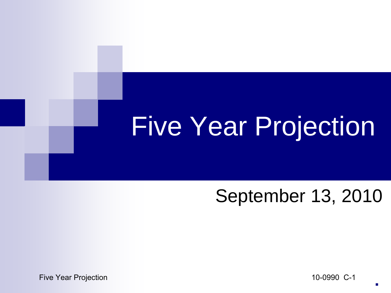# Five Year Projection

#### September 13, 2010

Five Year Projection **10-0990** C-1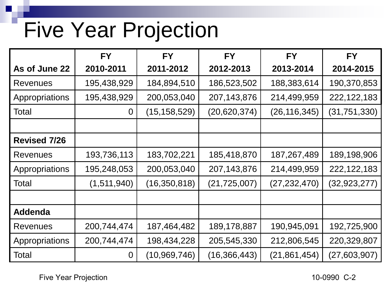### Five Year Projection

|                     | <b>FY</b>      | <b>FY</b>      | <b>FY</b>      | <b>FY</b>      | <b>FY</b>      |
|---------------------|----------------|----------------|----------------|----------------|----------------|
| As of June 22       | 2010-2011      | 2011-2012      | 2012-2013      | 2013-2014      | 2014-2015      |
| <b>Revenues</b>     | 195,438,929    | 184,894,510    | 186,523,502    | 188,383,614    | 190,370,853    |
| Appropriations      | 195,438,929    | 200,053,040    | 207,143,876    | 214,499,959    | 222, 122, 183  |
| Total               | $\overline{0}$ | (15,158,529)   | (20, 620, 374) | (26, 116, 345) | (31, 751, 330) |
|                     |                |                |                |                |                |
| <b>Revised 7/26</b> |                |                |                |                |                |
| <b>Revenues</b>     | 193,736,113    | 183,702,221    | 185,418,870    | 187,267,489    | 189,198,906    |
| Appropriations      | 195,248,053    | 200,053,040    | 207,143,876    | 214,499,959    | 222,122,183    |
| Total               | (1,511,940)    | (16, 350, 818) | (21, 725, 007) | (27, 232, 470) | (32, 923, 277) |
|                     |                |                |                |                |                |
| <b>Addenda</b>      |                |                |                |                |                |
| Revenues            | 200,744,474    | 187,464,482    | 189,178,887    | 190,945,091    | 192,725,900    |
| Appropriations      | 200,744,474    | 198,434,228    | 205,545,330    | 212,806,545    | 220,329,807    |
| Total               | $\overline{0}$ | (10, 969, 746) | (16, 366, 443) | (21, 861, 454) | (27,603,907)   |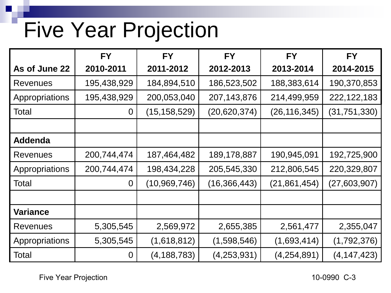### Five Year Projection

|                 | <b>FY</b>      | <b>FY</b>      | <b>FY</b>      | <b>FY</b>      | <b>FY</b>     |
|-----------------|----------------|----------------|----------------|----------------|---------------|
| As of June 22   | 2010-2011      | 2011-2012      | 2012-2013      | 2013-2014      | 2014-2015     |
| <b>Revenues</b> | 195,438,929    | 184,894,510    | 186,523,502    | 188,383,614    | 190,370,853   |
| Appropriations  | 195,438,929    | 200,053,040    | 207,143,876    | 214,499,959    | 222, 122, 183 |
| Total           | $\overline{0}$ | (15, 158, 529) | (20, 620, 374) | (26,116,345)   | (31,751,330)  |
|                 |                |                |                |                |               |
| <b>Addenda</b>  |                |                |                |                |               |
| <b>Revenues</b> | 200,744,474    | 187,464,482    | 189,178,887    | 190,945,091    | 192,725,900   |
| Appropriations  | 200,744,474    | 198,434,228    | 205,545,330    | 212,806,545    | 220,329,807   |
| Total           | $\Omega$       | (10,969,746)   | (16, 366, 443) | (21, 861, 454) | (27,603,907)  |
|                 |                |                |                |                |               |
| <b>Variance</b> |                |                |                |                |               |
| <b>Revenues</b> | 5,305,545      | 2,569,972      | 2,655,385      | 2,561,477      | 2,355,047     |
| Appropriations  | 5,305,545      | (1,618,812)    | (1,598,546)    | (1,693,414)    | (1,792,376)   |
| Total           | $\overline{0}$ | (4, 188, 783)  | (4, 253, 931)  | (4,254,891)    | (4, 147, 423) |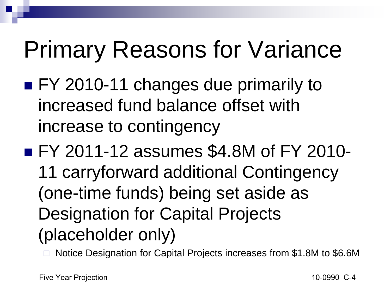## Primary Reasons for Variance

- FY 2010-11 changes due primarily to increased fund balance offset with increase to contingency
- **FY 2011-12 assumes \$4.8M of FY 2010-**11 carryforward additional Contingency (one-time funds) being set aside as Designation for Capital Projects (placeholder only)

Notice Designation for Capital Projects increases from \$1.8M to \$6.6M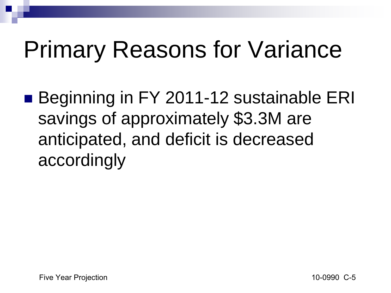## Primary Reasons for Variance

■ Beginning in FY 2011-12 sustainable ERI savings of approximately \$3.3M are anticipated, and deficit is decreased accordingly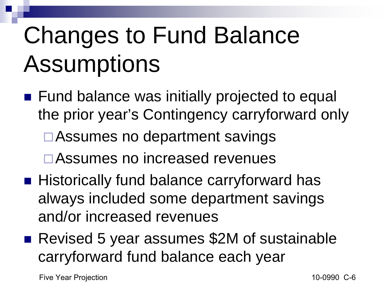# Changes to Fund Balance Assumptions

- Fund balance was initially projected to equal the prior year's Contingency carryforward only **□Assumes no department savings** □ Assumes no increased revenues
- Historically fund balance carryforward has always included some department savings and/or increased revenues
- Revised 5 year assumes \$2M of sustainable carryforward fund balance each year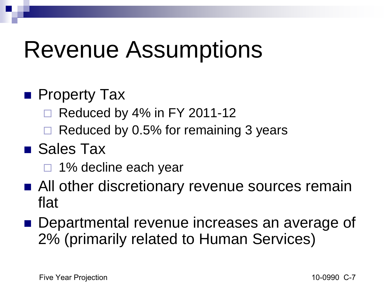## Revenue Assumptions

#### **Property Tax**

- Reduced by 4% in FY 2011-12
- Reduced by 0.5% for remaining 3 years

#### ■ Sales Tax

- □ 1% decline each year
- All other discretionary revenue sources remain flat
- Departmental revenue increases an average of 2% (primarily related to Human Services)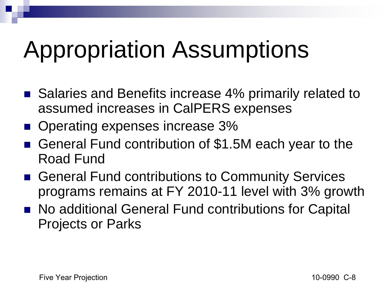## Appropriation Assumptions

- Salaries and Benefits increase 4% primarily related to assumed increases in CalPERS expenses
- Operating expenses increase 3%
- General Fund contribution of \$1.5M each year to the Road Fund
- General Fund contributions to Community Services programs remains at FY 2010-11 level with 3% growth
- No additional General Fund contributions for Capital Projects or Parks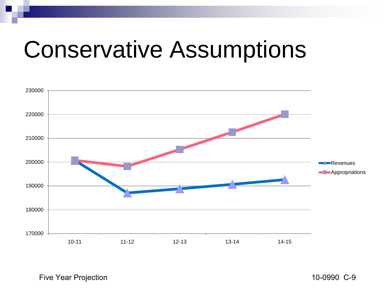### Conservative Assumptions



Five Year Projection **10-0990** C-9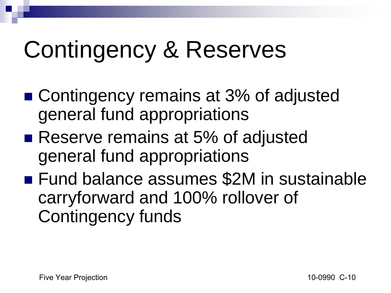## Contingency & Reserves

- Contingency remains at 3% of adjusted general fund appropriations
- Reserve remains at 5% of adjusted general fund appropriations
- Fund balance assumes \$2M in sustainable carryforward and 100% rollover of Contingency funds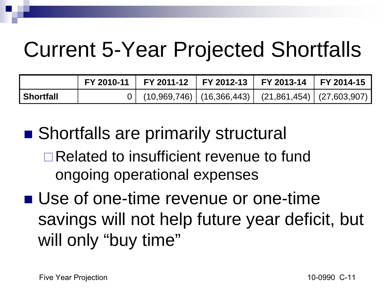### Current 5-Year Projected Shortfalls

|                  | FY 2010-11 FY 2011-12 FY 2012-13 FY 2013-14 FY 2014-15                  |  |  |
|------------------|-------------------------------------------------------------------------|--|--|
| <b>Shortfall</b> | $0$   $(10,969,746)$   $(16,366,443)$   $(21,861,454)$   $(27,603,907)$ |  |  |

■ Shortfalls are primarily structural Related to insufficient revenue to fund ongoing operational expenses

■ Use of one-time revenue or one-time savings will not help future year deficit, but will only "buy time"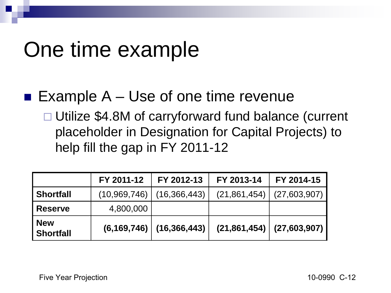#### One time example

#### **Example A – Use of one time revenue**

□ Utilize \$4.8M of carryforward fund balance (current placeholder in Designation for Capital Projects) to help fill the gap in FY 2011-12

|                                | FY 2011-12     | FY 2012-13     | FY 2013-14     | FY 2014-15   |
|--------------------------------|----------------|----------------|----------------|--------------|
| <b>Shortfall</b>               | (10, 969, 746) | (16, 366, 443) | (21, 861, 454) | (27,603,907) |
| <b>Reserve</b>                 | 4,800,000      |                |                |              |
| <b>New</b><br><b>Shortfall</b> | (6, 169, 746)  | (16, 366, 443) | (21, 861, 454) | (27,603,907) |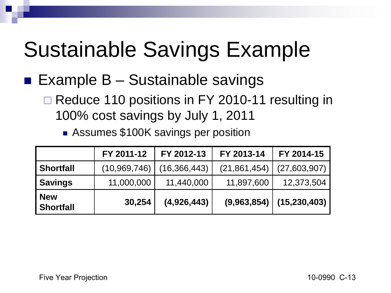### Sustainable Savings Example

#### **Example B – Sustainable savings**

- □ Reduce 110 positions in FY 2010-11 resulting in 100% cost savings by July 1, 2011
	- **Assumes \$100K savings per position**

|                                | FY 2011-12     | FY 2012-13     | FY 2013-14     | FY 2014-15                 |
|--------------------------------|----------------|----------------|----------------|----------------------------|
| <b>Shortfall</b>               | (10, 969, 746) | (16, 366, 443) | (21, 861, 454) | (27,603,907)               |
| <b>Savings</b>                 | 11,000,000     | 11,440,000     | 11,897,600     | 12,373,504                 |
| <b>New</b><br><b>Shortfall</b> | 30,254         | (4,926,443)    |                | $(9,963,854)$ (15,230,403) |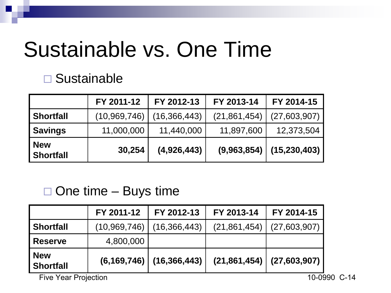#### Sustainable vs. One Time

#### □ Sustainable

|                                | FY 2011-12     | FY 2012-13     | FY 2013-14     | FY 2014-15                 |
|--------------------------------|----------------|----------------|----------------|----------------------------|
| <b>Shortfall</b>               | (10, 969, 746) | (16, 366, 443) | (21, 861, 454) | (27,603,907)               |
| <b>Savings</b>                 | 11,000,000     | 11,440,000     | 11,897,600     | 12,373,504                 |
| <b>New</b><br><b>Shortfall</b> | 30,254         | (4,926,443)    |                | $(9,963,854)$ (15,230,403) |

#### $\Box$  One time – Buys time

|                         | FY 2011-12                                  | FY 2012-13                   | FY 2013-14     | FY 2014-15                    |  |  |
|-------------------------|---------------------------------------------|------------------------------|----------------|-------------------------------|--|--|
| <b>Shortfall</b>        | (10,969,746)                                | (16,366,443)                 | (21, 861, 454) | (27,603,907)                  |  |  |
| <b>Reserve</b>          | 4,800,000                                   |                              |                |                               |  |  |
| New<br><b>Shortfall</b> |                                             | $(6, 169, 746)$ (16,366,443) |                | $(21,861,454)$ $(27,603,907)$ |  |  |
|                         | <b>Five Year Projection</b><br>10-0990 C-14 |                              |                |                               |  |  |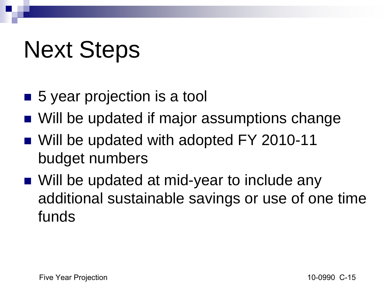## Next Steps

- 5 year projection is a tool
- Will be updated if major assumptions change
- Will be updated with adopted FY 2010-11 budget numbers
- Will be updated at mid-year to include any additional sustainable savings or use of one time funds